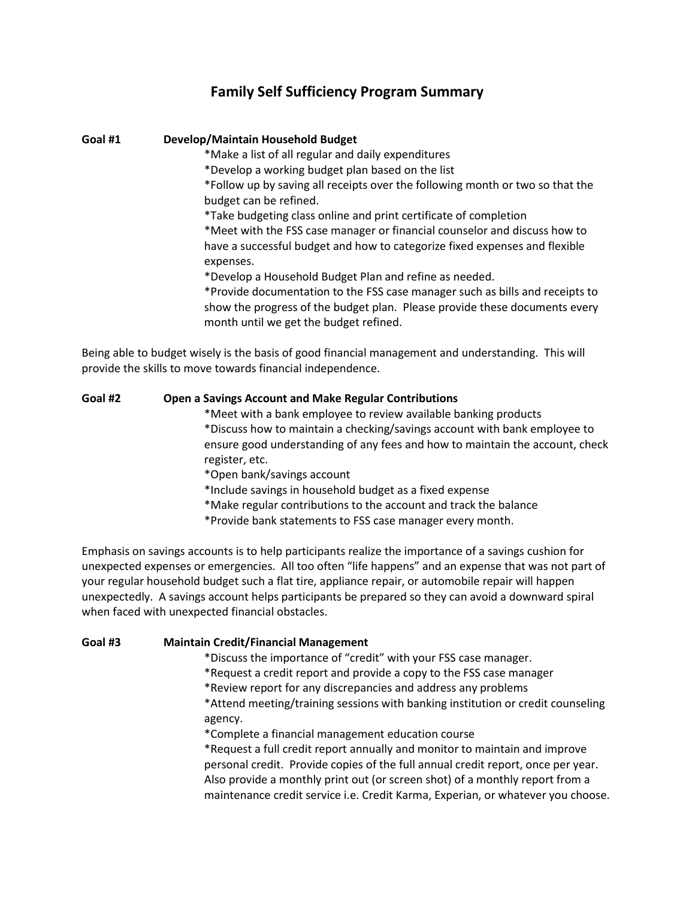# **Family Self Sufficiency Program Summary**

#### **Goal #1 Develop/Maintain Household Budget**

\*Make a list of all regular and daily expenditures

\*Develop a working budget plan based on the list

\*Follow up by saving all receipts over the following month or two so that the budget can be refined.

\*Take budgeting class online and print certificate of completion

\*Meet with the FSS case manager or financial counselor and discuss how to have a successful budget and how to categorize fixed expenses and flexible expenses.

\*Develop a Household Budget Plan and refine as needed.

\*Provide documentation to the FSS case manager such as bills and receipts to show the progress of the budget plan. Please provide these documents every month until we get the budget refined.

Being able to budget wisely is the basis of good financial management and understanding. This will provide the skills to move towards financial independence.

## **Goal #2 Open a Savings Account and Make Regular Contributions**

\*Meet with a bank employee to review available banking products \*Discuss how to maintain a checking/savings account with bank employee to ensure good understanding of any fees and how to maintain the account, check register, etc.

\*Open bank/savings account

\*Include savings in household budget as a fixed expense

\*Make regular contributions to the account and track the balance

\*Provide bank statements to FSS case manager every month.

Emphasis on savings accounts is to help participants realize the importance of a savings cushion for unexpected expenses or emergencies. All too often "life happens" and an expense that was not part of your regular household budget such a flat tire, appliance repair, or automobile repair will happen unexpectedly. A savings account helps participants be prepared so they can avoid a downward spiral when faced with unexpected financial obstacles.

## **Goal #3 Maintain Credit/Financial Management**

\*Discuss the importance of "credit" with your FSS case manager.

\*Request a credit report and provide a copy to the FSS case manager

\*Review report for any discrepancies and address any problems

\*Attend meeting/training sessions with banking institution or credit counseling agency.

\*Complete a financial management education course

\*Request a full credit report annually and monitor to maintain and improve personal credit. Provide copies of the full annual credit report, once per year. Also provide a monthly print out (or screen shot) of a monthly report from a maintenance credit service i.e. Credit Karma, Experian, or whatever you choose.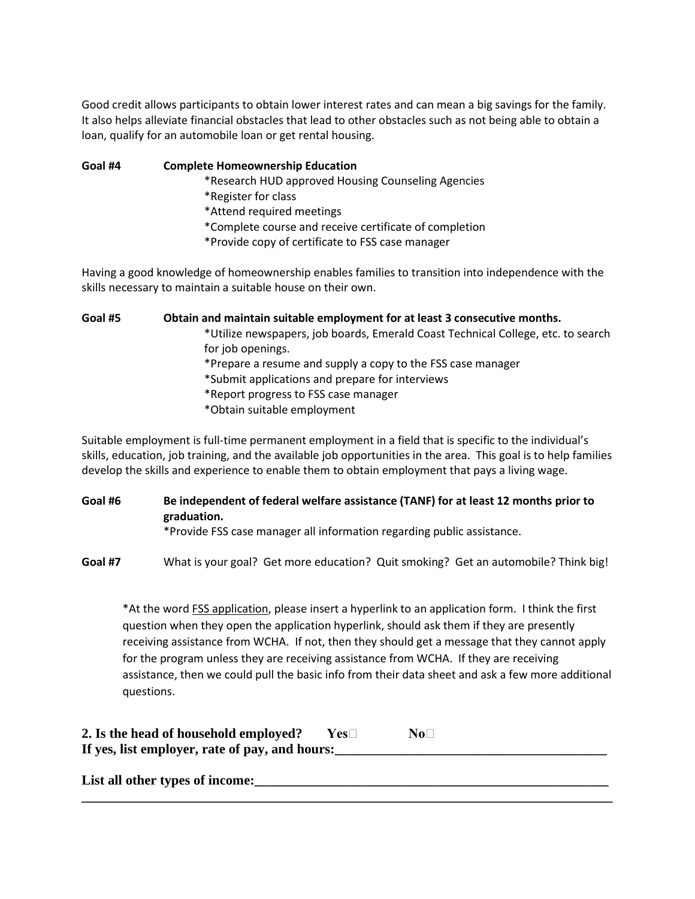Good credit allows participants to obtain lower interest rates and can mean a big savings for the family. It also helps alleviate financial obstacles that lead to other obstacles such as not being able to obtain a loan, qualify for an automobile loan or get rental housing.

**Goal #4 Complete Homeownership Education**

\*Research HUD approved Housing Counseling Agencies

- \*Register for class
- \*Attend required meetings
- \*Complete course and receive certificate of completion
- \*Provide copy of certificate to FSS case manager

Having a good knowledge of homeownership enables families to transition into independence with the skills necessary to maintain a suitable house on their own.

**Goal #5 Obtain and maintain suitable employment for at least 3 consecutive months.** \*Utilize newspapers, job boards, Emerald Coast Technical College, etc. to search for job openings. \*Prepare a resume and supply a copy to the FSS case manager \*Submit applications and prepare for interviews \*Report progress to FSS case manager \*Obtain suitable employment

Suitable employment is full-time permanent employment in a field that is specific to the individual's skills, education, job training, and the available job opportunities in the area. This goal is to help families develop the skills and experience to enable them to obtain employment that pays a living wage.

**Goal #6 Be independent of federal welfare assistance (TANF) for at least 12 months prior to graduation.**

\*Provide FSS case manager all information regarding public assistance.

**Goal #7** What is your goal? Get more education? Quit smoking? Get an automobile? Think big!

**\_\_\_\_\_\_\_\_\_\_\_\_\_\_\_\_\_\_\_\_\_\_\_\_\_\_\_\_\_\_\_\_\_\_\_\_\_\_\_\_\_\_\_\_\_\_\_\_\_\_\_\_\_\_\_\_\_\_\_\_\_\_\_\_\_\_\_\_\_\_\_\_\_\_\_\_\_\_**

\*At the word **FSS application**, please insert a hyperlink to an application form. I think the first question when they open the application hyperlink, should ask them if they are presently receiving assistance from WCHA. If not, then they should get a message that they cannot apply for the program unless they are receiving assistance from WCHA. If they are receiving assistance, then we could pull the basic info from their data sheet and ask a few more additional questions.

| 2. Is the head of household employed?          | Yes⊟ | $\bf{No}\Box$ |
|------------------------------------------------|------|---------------|
| If yes, list employer, rate of pay, and hours: |      |               |

List all other types of income: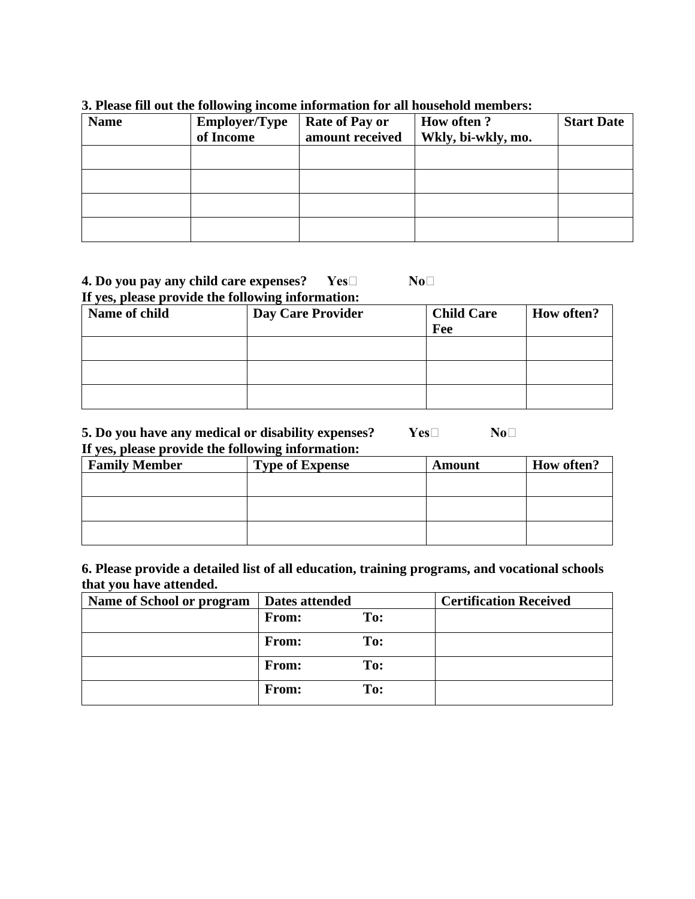| <b>Name</b> | <b>Employer/Type</b><br>of Income | <b>Rate of Pay or</b><br>amount received | <b>How often?</b><br>Wkly, bi-wkly, mo. | <b>Start Date</b> |
|-------------|-----------------------------------|------------------------------------------|-----------------------------------------|-------------------|
|             |                                   |                                          |                                         |                   |
|             |                                   |                                          |                                         |                   |
|             |                                   |                                          |                                         |                   |
|             |                                   |                                          |                                         |                   |

# **3. Please fill out the following income information for all household members:**

# **4. Do you pay any child care expenses? Yes No No If yes, please provide the following information:**

**Name of child <b>Day Care Provider Child Care Fee How often?**

## **5. Do you have any medical or disability expenses? Yes No** $\Box$  **No** $\Box$ **If yes, please provide the following information:**

| <b>Family Member</b> | <b>Type of Expense</b> | <b>Amount</b> | <b>How often?</b> |
|----------------------|------------------------|---------------|-------------------|
|                      |                        |               |                   |
|                      |                        |               |                   |
|                      |                        |               |                   |
|                      |                        |               |                   |
|                      |                        |               |                   |

# **6. Please provide a detailed list of all education, training programs, and vocational schools that you have attended.**

| Name of School or program | Dates attended |     | <b>Certification Received</b> |
|---------------------------|----------------|-----|-------------------------------|
|                           | <b>From:</b>   | To: |                               |
|                           | <b>From:</b>   | To: |                               |
|                           | <b>From:</b>   | To: |                               |
|                           | <b>From:</b>   | To: |                               |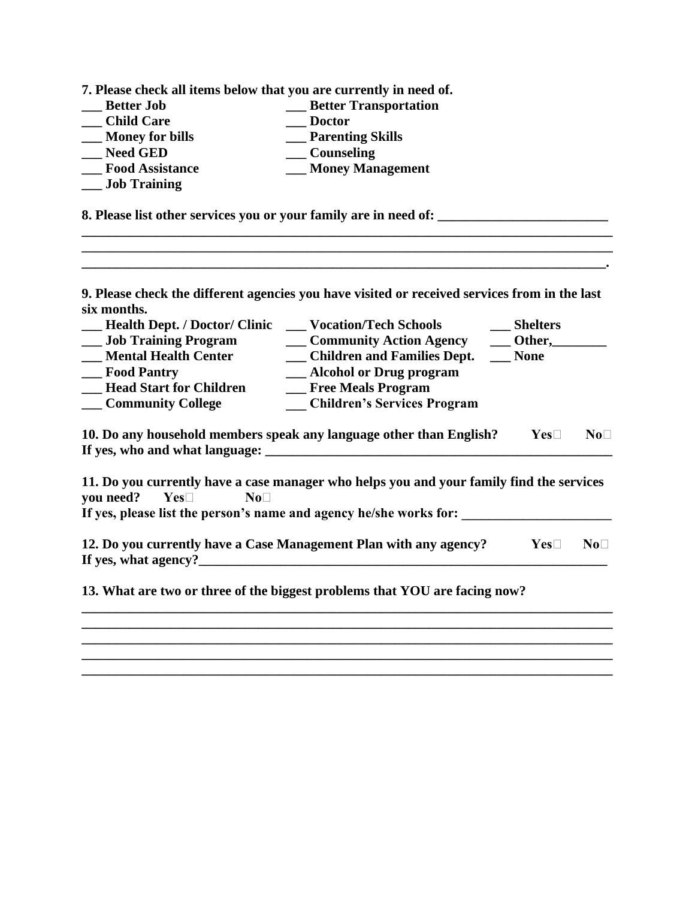**7. Please check all items below that you are currently in need of.**

| <b>Better Job</b>      | <b>Better Transportation</b> |
|------------------------|------------------------------|
| <b>Child Care</b>      | <b>Doctor</b>                |
| <b>Money for bills</b> | <b>Parenting Skills</b>      |
| <b>Need GED</b>        | Counseling                   |
| <b>Food Assistance</b> | <b>Money Management</b>      |
| <b>Job Training</b>    |                              |

**8. Please list other services you or your family are in need of: \_\_\_\_\_\_\_\_\_\_\_\_\_\_\_\_\_\_\_\_\_\_\_\_\_**

**9. Please check the different agencies you have visited or received services from in the last six months.**

**\_\_\_\_\_\_\_\_\_\_\_\_\_\_\_\_\_\_\_\_\_\_\_\_\_\_\_\_\_\_\_\_\_\_\_\_\_\_\_\_\_\_\_\_\_\_\_\_\_\_\_\_\_\_\_\_\_\_\_\_\_\_\_\_\_\_\_\_\_\_\_\_\_\_\_\_\_\_**

**\_\_\_\_\_\_\_\_\_\_\_\_\_\_\_\_\_\_\_\_\_\_\_\_\_\_\_\_\_\_\_\_\_\_\_\_\_\_\_\_\_\_\_\_\_\_\_\_\_\_\_\_\_\_\_\_\_\_\_\_\_\_\_\_\_\_\_\_\_\_\_\_\_\_\_\_\_.**

| <b>Health Dept. / Doctor/ Clinic</b>                   | <b>Vocation/Tech Schools</b>                                                             | <b>Shelters</b>     |             |
|--------------------------------------------------------|------------------------------------------------------------------------------------------|---------------------|-------------|
| <b>Job Training Program</b>                            | <b>Community Action Agency</b>                                                           | Other,              |             |
| <b>Mental Health Center</b>                            | <b>Children and Families Dept.</b>                                                       | <b>None</b>         |             |
| <b>Food Pantry</b>                                     | Alcohol or Drug program                                                                  |                     |             |
| <b>Head Start for Children</b>                         | <b>Free Meals Program</b>                                                                |                     |             |
| Community College                                      | <b>Children's Services Program</b>                                                       |                     |             |
| If yes, who and what language:                         | 10. Do any household members speak any language other than English?                      | $\mathbf{Yes} \Box$ | $No\square$ |
| you need?<br>$\mathbf{Yes} \square$<br>No <sub>1</sub> | 11. Do you currently have a case manager who helps you and your family find the services |                     |             |

**If yes, please list the person's name and agency he/she works for: \_\_\_\_\_\_\_\_\_\_\_\_\_\_\_\_\_\_\_\_\_\_**

**12. Do you currently have a Case Management Plan with any agency? Yes** No **If yes, what agency?\_\_\_\_\_\_\_\_\_\_\_\_\_\_\_\_\_\_\_\_\_\_\_\_\_\_\_\_\_\_\_\_\_\_\_\_\_\_\_\_\_\_\_\_\_\_\_\_\_\_\_\_\_\_\_\_\_\_\_\_**

**\_\_\_\_\_\_\_\_\_\_\_\_\_\_\_\_\_\_\_\_\_\_\_\_\_\_\_\_\_\_\_\_\_\_\_\_\_\_\_\_\_\_\_\_\_\_\_\_\_\_\_\_\_\_\_\_\_\_\_\_\_\_\_\_\_\_\_\_\_\_\_\_\_\_\_\_\_\_ \_\_\_\_\_\_\_\_\_\_\_\_\_\_\_\_\_\_\_\_\_\_\_\_\_\_\_\_\_\_\_\_\_\_\_\_\_\_\_\_\_\_\_\_\_\_\_\_\_\_\_\_\_\_\_\_\_\_\_\_\_\_\_\_\_\_\_\_\_\_\_\_\_\_\_\_\_\_ \_\_\_\_\_\_\_\_\_\_\_\_\_\_\_\_\_\_\_\_\_\_\_\_\_\_\_\_\_\_\_\_\_\_\_\_\_\_\_\_\_\_\_\_\_\_\_\_\_\_\_\_\_\_\_\_\_\_\_\_\_\_\_\_\_\_\_\_\_\_\_\_\_\_\_\_\_\_**

**\_\_\_\_\_\_\_\_\_\_\_\_\_\_\_\_\_\_\_\_\_\_\_\_\_\_\_\_\_\_\_\_\_\_\_\_\_\_\_\_\_\_\_\_\_\_\_\_\_\_\_\_\_\_\_\_\_\_\_\_\_\_\_\_\_\_\_\_\_\_\_\_\_\_\_\_\_\_**

**13. What are two or three of the biggest problems that YOU are facing now?**